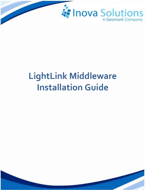

# **LightLink Middleware Installation Guide**

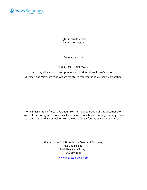

LightLink Middleware Installation Guide

February 1, 2022

#### NOTICE OF TRADEMARK:

Inova LightLink and its components are trademarks of Inova Solutions. Microsoft and Microsoft Windows are registered trademarks of Microsoft Corporation.

While reasonable efforts have been taken in the preparation of this document to ensure its accuracy, Inova Solutions, Inc. assumes no liability resulting from any errors or omissions in this manual, or from the use of the information contained herein.

> © 2022Inova Solutions, Inc., a Geomant Company 971 2nd ST S.E. Charlottesville, VA 22902 434.817.8000

> > [www.inovasolutions.com](http://www.inovasolutions.com/)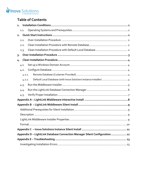

# **Table of Contents**

| $\mathbf{1}$ .                                                              |                                                                     |  |
|-----------------------------------------------------------------------------|---------------------------------------------------------------------|--|
| 1.1.                                                                        |                                                                     |  |
| 2.                                                                          |                                                                     |  |
| 2.1.                                                                        |                                                                     |  |
| 2.2.                                                                        |                                                                     |  |
| 2.3.                                                                        |                                                                     |  |
| $3 -$                                                                       |                                                                     |  |
| 4.                                                                          |                                                                     |  |
| 4.1.                                                                        |                                                                     |  |
| 4.2.                                                                        |                                                                     |  |
| 4.2.1.                                                                      |                                                                     |  |
| 4.2.2.                                                                      | Default Local Database (with Inova Solutions Instance Installer)  4 |  |
| 4.3.                                                                        |                                                                     |  |
| 4.4.                                                                        |                                                                     |  |
| 4.5.                                                                        |                                                                     |  |
|                                                                             |                                                                     |  |
|                                                                             |                                                                     |  |
|                                                                             |                                                                     |  |
|                                                                             |                                                                     |  |
|                                                                             |                                                                     |  |
|                                                                             |                                                                     |  |
|                                                                             |                                                                     |  |
| Appendix D - LightLink Database Connection Manager Silent Configuration  12 |                                                                     |  |
|                                                                             |                                                                     |  |
|                                                                             |                                                                     |  |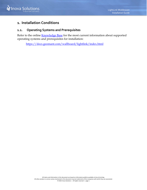

## <span id="page-3-0"></span>**1. Installation Conditions**

#### <span id="page-3-1"></span>**1.1. Operating Systems and Prerequisites**

Refer to the online **Knowledge Base** for the most current information about supported operating systems and prerequisites for installation:

<https://docs.geomant.com/wallboard/lightlink/index.html>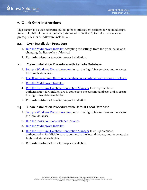# <span id="page-4-0"></span>**2. Quick Start Instructions**

This section is a quick reference guide; refer to subsequent sections for detailed steps. Refer to LightLink knowledge base (referenced in Section [1\)](#page-3-0) for information about prerequisites for Middleware installation.

#### **2.1. [Over-Installation Procedure](#page-5-0)**

- <span id="page-4-1"></span>1. [Run the Middleware Installer,](#page-7-0) accepting the settings from the prior install and changing the license key if desired
- <span id="page-4-2"></span>2. Run Administrator to verify proper installation.

#### **2.2. [Clean Installation Procedure](#page-6-0) with Remote Database**

- 1. [Set up a Windows Domain Account](#page-6-1) to run the LightLink services and to access the remote database.
- 2. Install and configure [the remote database in accordance with customer](#page-6-3) policies.
- 3. [Run the Middleware Installer.](#page-7-0)
- 4. [Run the LightLink Database Connection Manager](#page-8-0) to set up database authentication for Middleware to connect to the custom database, and to create the LightLink database tables.
- 5. Run Administrator to verify proper installation.

#### <span id="page-4-3"></span>**2.3. Clean Installation Procedure with Default Local Database**

- 1. [Set up a Windows Domain Account](#page-6-1) to run the LightLink services and to access the local database.
- 2. [Run the Inova Solutions Instance Installer.](#page-6-4)
- 3. [Run the Middleware Installer.](#page-7-0)
- 4. [Run the LightLink Database Connection Manager](#page-8-0) to set up database authentication for Middleware to connect to the local database, and to create the LightLink database tables.
- 5. Run Administrator to verify proper installation.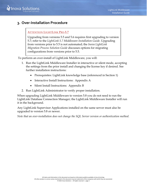# <span id="page-5-0"></span>**3. Over-Installation Procedure**

#### **ATTENTION LIGHTLINK PRE-5.7**

Upgrading from versions 5.5 and 5.6 requires first upgrading to version 5.7; refer to the *LightLink 5.7 Middleware Installation Guide*. Upgrading from versions prior to 5.5 is not automated; the *Inova LightLink Migration Process Solution Guide* discusses options for migrating configurations from versions prior to 5.5.

To perform an over-install of LightLink Middleware, you will:

- 1. Run the LightLink Middleware Installer in interactive or silent mode, accepting the settings from the prior install and changing the license key if desired. See further installation instructions:
	- Prerequisites: LightLink knowledge base (referenced in Section [1\)](#page-3-0)
	- Interactive Install Instructions: [Appendix A](#page-10-0)
	- Silent Install Instructions: [Appendix](#page-11-0) B
- 2. Run LightLink Administrator to verify proper installation.

When upgrading LightLink Middleware to version 5.8 you do not need to run the LightLink Database Connection Manager; the LightLink Middleware Installer will run it in the background.

Any LightLink Supervisor Applications installed on the same server must also be upgraded to version 5.8 or newer.

*Note that an over-installation does not change the SQL Server version or authentication method.*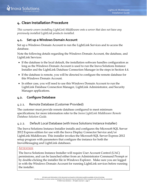# <span id="page-6-0"></span>**4. Clean Installation Procedure**

*This scenario covers installing LightLink Middleware onto a server that does not have any previously installed LightLink products installed.*

## <span id="page-6-1"></span>**4.1. Set up a Windows Domain Account**

Set up a Windows Domain Account to run the LightLink Services and to access the database.

Note the following details regarding the Windows Domain Account, the database, and LightLink Services:

- If the database is the local default, the installation software handles configuration as long as the Windows Domain Account is used to run the Inova Solutions Instance Installer and the LightLink Database Connection Manager in the steps in Section [4.4.](#page-8-0)
- If the database is remote, you will be directed to configure the remote database for this Windows Domain Account.
- In either case, you will need to use this Windows Domain Account to run the LightLink Database Connection Manager, LightLink Administrator, and Security Manager applications.

## <span id="page-6-2"></span>**4.2. Configure Database**

## <span id="page-6-3"></span>4.2.1. Remote Database (Customer Provided)

The customer must provide remote database configured to meet minimum specifications; for more information refer to the *Inova LightLink Middleware Remote Database Solution Guide.*

## <span id="page-6-4"></span>4.2.2. Default Local Database (with Inova Solutions Instance Installer)

The Inova Solutions Instance Installer installs and configures the Microsoft SQL Server 2012 Express edition for use with the Inova Display Connector Service and/or LightLink Middleware. This installer invokes the Microsoft SQL Server Express 2012 setup program with parameters that configure the instance for both the InovaMessaging and LightLink databases.

#### **ATTENTION**

The Inova Solutions Instance Installer will require User Account Control (UAC) permissions, and can be launched either from an Administrator Command Prompt or by double-clicking the installer file in Windows Explorer. Make sure you are logged in with the Windows Domain Account for running LightLink services before running the installer.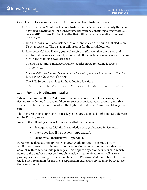

Complete the following steps to run the Inova Solutions Instance Installer:

- 1. Copy the Inova Solutions Instance Installer to the target server. Verify that you have also downloaded the SQL Server subdirectory containing a Microsoft SQL Server 2012 Express Edition installer that will be called automatically as part of the process.
- 2. Run the Inova Solutions Instance Installer and click on the button labeled *Create Database Instance*. The installer will prompt for the install location.
- 3. In a successful installation, you will receive notification that the Install and Configuration was successfully completed. If the installation fails, review the log files in the following two locations:

The Inova Solutions Instance Installer log files in the following location:

%cd%\logs

*Inova Installer log files can be found in the log folder from which it was run. Note that %cd% means the current directory.*

The SQL Server install logs in the following location:

%Program Files%\Microsoft SQL Server\110\Setup Bootstrap\Log

#### <span id="page-7-0"></span>**4.3. Run the Middleware Installer**

When installing LightLink Middleware, one must choose the role as Primary or Secondary; only one Primary middleware server is designated as primary, and that server must be the first one on which the LightLink Database Connection Manager is run.

The Inova Solutions LightLink license key is required to install LightLink Middleware on the Primary server.

Refer to the following sources for more detailed instructions:

- Prerequisites: LightLink knowledge base (referenced in Section [1\)](#page-3-0)
- Interactive Install Instructions: [Appendix A](#page-10-0)
- Silent Install Instructions: [Appendix](#page-11-0) B

For a remote database set up with Windows Authentication, the middleware applications must run as the user account set up in section 4.1, or as any other user account with commensurate privileges. This applies any secondary server to which access to the database must be through Windows Authentication, as well as to a primary server accessing a remote database with Windows Authentication. To do so, the log on information for the Inova Application Launcher service must be set to use that user account.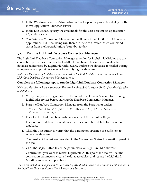- 1. In the Windows Services Administrative Tool, open the properties dialog for the Inova Application Launcher service.
- 2. In the Log On tab, specify the credentials for the user account set up in section 4.1, and click *OK*.
- 3. The Database Connection Manager tool will restart the LightLink middleware applications, but if not being run, then run the clean\_restart batch command script from the Inova Solutions/core/bin folder.

## <span id="page-8-0"></span>**4.4. Run the LightLink Database Connection Manager**

The LightLink Database Connection Manager specifies for LightLink Middleware the connection properties to access the LightLink database. This tool also creates the database tables used by LightLink Middleware, updates the database if needed during an upgrade, and provides a means for emptying the database.

*Note that the Primary Middleware server must be the first Middleware server on which the LightLink Database Connection Manager is run.*

#### **Complete the following steps to run the LightLink Database Connection Manager:**

*Note that that the tool has a command line version described in [Appendix](#page-13-0)* [C](#page-13-0) *if required for silent installations.*

- 1. Verify that you are logged in with the Windows Domain Account for running LightLink services before starting the Database Connection Manager.
- 2. Start the Database Connection Manager from the Start menu under:

Inova Solutions\LightLink Middleware\LightLink Database Connection Manager

3. For a local default database installation, accept the default settings.

For a remote database installation, enter the connection details for the remote database.

4. Click the *Test* button to verify that the parameters specified are sufficient to access the database.

The results of the test are provided in the Connection Status Information panel of the tool.

5. Click the *Apply* button to set the parameters for LightLink Middleware.

Confirm that you want to restart LightLink. At this point the tool will set the connection parameters, create the database tables, and restart the LightLink Middleware server applications.

*For a new install, it is important to note that LightLink Middleware will not be operational until the LightLink Database Connection Manager has been run.*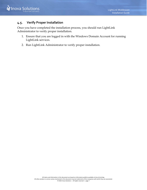

#### <span id="page-9-0"></span>**4.5. Verify Proper Installation**

Once you have completed the installation process, you should run LightLink Administrator to verify proper installation.

- 1. Ensure that you are logged in with the Windows Domain Account for running LightLink services.
- 2. Run LightLink Administrator to verify proper installation.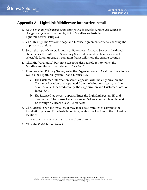# <span id="page-10-0"></span>**Appendix A – LightLink Middleware Interactive Install**

- 1. *Note: For an upgrade install, some settings will be disabled because they cannot be changed on upgrade.* Run the LightLink Middleware Installer, lightlink\_server\_setup.exe.
- 2. Click through the Welcome page and License Agreement screens, choosing the appropriate options.
- 3. Select the type of server: Primary or Secondary. Primary Server is the default choice; click the button for Secondary Server if desired. (This choice is not selectable for an upgrade installation, but it will show the current setting.)
- 4. Click the "Change…" button to select the desired folder into which the Middleware files will be installed. Click *Next*.
- 5. If you selected Primary Server, enter the Organization and Customer Location as well as the LightLink System ID and License Key
	- a. The Customer Information screen appears, with the Organization and Customer Location pre-populated from the Windows registry or from prior installs. If desired, change the Organization and Customer Location. Select *Next*.
	- b. The License Key screen appears. Enter the LightLink System ID and License Key. The license keys for version 5.8 are compatible with version 5.5 through 5.7 license keys. Select *Next*.
- 6. Click *Install* to run the installer. It may take a few minutes to complete the installation process. If the installation fails, review the log files in the following location:

```
%install_dir%\Inova Solutions\core\logs
```
7. Click the *Finish* button to exit.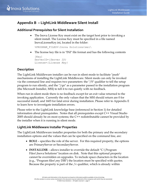

# <span id="page-11-0"></span>**Appendix B – LightLink Middleware Silent Install**

#### <span id="page-11-1"></span>**Additional Prerequisites for Silent Installation**

• The Inova License Key must exist on the target host prior to invoking a silent install. The License Key must be specified in a file named InovaLicenseKey.ini, located in the folder:

%PROGRAM\_FILES%\Inova Solutions\msi\

• The license key file is in "INI" file format and has the following contents

```
[Key]
ServerID={Server ID}
License={License Key}
```
## <span id="page-11-2"></span>**Description**

The LightLink Middleware installer can be run in silent mode to facilitate "push" mechanisms of installing the LightLink Middleware. Silent mode can only be invoked via the command line and requires two parameters: the "/S" qualifier to tell the setup program to run silently, and the "/qn" as a parameter passed to the installation program (the Microsoft Installer, MSI) to tell it to run quietly with no feedback.

When run in silent mode there is no feedback except for an exit value returned to the invoking application. Currently the only values that the MSI should return are 0 for successful install, and 1603 for fatal error during installation. Please refer to [Appendix E](#page-15-0) to learn how to investigate installation errors.

Please refer to the LightLink knowledge base (referenced in Section [1\)](#page-3-0) for detailed information about prerequisites. Notes that all prerequisites except C++ Visual Studio 2005 should already be on most systems; the C++ redistributable cannot be provided by the installer when it is running in silent mode.

## <span id="page-11-3"></span>**LightLink Middleware Installer Properties**

The LightLink Middleware installer properties for both the primary and the secondary installation options and the values that can be specified on the command line, are:

- **ROLE** specifies the role of the server. For this required property, the options are PrimaryServer or SecondaryServer.
- **INSTALLDIR** allows installer to override the default "C:\Program Files\Inova Solutions" location on disk. Note that this optional property cannot be overridden on upgrades. To include space characters in the location (e.g., "Program files\my DIR") the location must be specified with quotes. Because the property is part of the  $\sqrt{v}$  qualifier, which is already within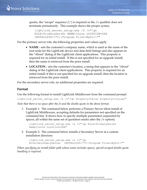quotes, the "escape" sequence  $(\nabla)$  is required so the /v qualifier does not terminate prematurely. This example shows the proper syntax:

```
lightlink server setup.exe /S /v"/qn
ROLE=PrimaryServer NAME=Inova LOCATION=USA 
INSTALLDIR=\"C:\Program Files\MyDir\""
```
For the primary server role, the following properties and values apply:

- **NAME** sets the customer's company name, which is used as the name of the root node for the LightLink device and data field listings and also appears in the "About" dialog of the LightLink client applications. This property is required for an initial install. If this is not specified for an upgrade install, then the name is retrieved from the prior install.
- **LOCATION** sets the customer's location, a string that appears in the "About" dialog of the LightLink client applications. This property is required for an initial install; if this is not specified for an upgrade install, then the location is retrieved from the prior install.

For the secondary server role, no additional properties are required.

## <span id="page-12-0"></span>**Format**

Use the following format to install LightLink Middleware from the command prompt: lightlink server setup.exe /S /v"/qn Property=Value Property2=value2" *Note that there is no space after the /v and the double-quote in the above format.*

1. Example 1: The command below performs a Primary Server silent install of LightLink Middleware, accepting defaults for parameters not specified on the command line. It shows how to specify multiple parameters (separated by spaces, all within the same set of quotation marks after the /v option):

```
lightlink_server_setup.exe /s /v"/qn Role=PrimaryServer
Name=Inova Location=USA"
```
2. Example 2: The command below installs a Secondary Server at a custom installation directory:

```
lightlink server setup.exe /s /v"/qn
Role=SecondaryServer INSTALLDIR=\"C:\Program Files\MyDir\""
```
*When specifying an install folder path whose name includes spaces, special escaped double-quote handling is required.*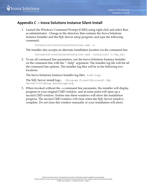

# <span id="page-13-0"></span>**Appendix C – Inova Solutions Instance Silent Install**

1. Launch the Windows Command Prompt (CMD) using right click and select Run as administrator. Change to the directory that contains the Inova Solutions Instance Installer and the SQL Server setup program, and type the following command:

```
InovasolutionsInstanceInstaller.exe -s
```
The installer also accepts an alternate installation location via the command line.

InovasolutionsInstanceInstaller.exe –installdir c:\my\_dir

2. To see all command line parameters, run the Inova Solutions Instance Installer on the command line with the "--help" argument. The installer log file will list all the command line options. The installer log files will be in the following two locations:

The Inova Solutions Instance Installer log files:  $\text{gcd}\$ logs

```
The SQL Server install logs: %Program Files%\Microsoft SQL 
Server\110\Setup Bootstrap\Log
```
3. When invoked without the –s command line parameter, the installer will display progress in your original CMD window, and at some point will open up a second CMD window. Entries into these windows will show the installation progress. The second CMD window will close when the SQL Server install is complete. Do not close this window manually or your installation will abort.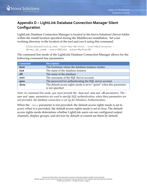# <span id="page-14-0"></span>**Appendix D – LightLink Database Connection Manager Silent Configuration**

LightLink Database Connection Manager is located in the Inova Solutions \Server folder within the install location specified during the Middleware installation. Set your working directory to the location of the tool and run it using this command:

```
LLDatabaseConfig.exe –host=my-db-host –inst=MyInstance –
db=my_db_name –user=DBUser –pass=MyPass4@
```
The command line mode of the LightLink Database Connection Manager allows for the following command line parameters:

| <b>Command</b> | <b>Description</b>                                                   |
|----------------|----------------------------------------------------------------------|
| -host          | The hostname where the database instance resides                     |
| -inst          | The name of the database instance                                    |
| $-db$          | The name of the database                                             |
| -user          | The username of the SQL Server account                               |
| -pass          | The password for authenticating the SQL server account               |
| -deny          | The default access rights mode is set to "grant" when this parameter |
|                | is not specified                                                     |

*Note: In command line mode, you must provide the –host and –inst and –db parameters. The – user and –pass parameters are used to specify SQL authentication; when these parameters are not provided, the database connection is set up for Windows Authentication.*

When the –deny parameter is not provided, the default access rights mode is set to *grant*; when it is provided, the default access rights mode is set to *deny*. The default access rights mode determines whether LightLink users can see configured output channels, display groups, and devices by default or cannot see them by default.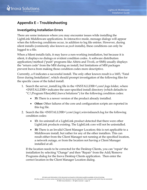

# <span id="page-15-0"></span>**Appendix E – Troubleshooting**

#### <span id="page-15-1"></span>**Investigating Installation Errors**

There are some instances where you may encounter issues while installing the LightLink Middleware applications. In interactive mode, message dialogs will appear when the following conditions occur, in addition to log file entries. However, during silent installs (commonly also known as *push* installs), these conditions can only be logged to a file.

When a Silent installs fails, it may leave a non-working installation, but because it is silent, it displays no dialogs or evident condition codes. A software distribution application/method ("push" programs like Altiris and Tivoli, or SMS) usually displays the "return code" from the MSI during an install, but limitations of MSI packages prevent Inova from making those condition codes more descriptive.

Currently, a 0 indicates a successful install. The only other known result is a 1603, "Fatal Error during Installation", which should prompt investigation of the following files for the specific cause of the failed install.

- 1. Search the server\_install.log file in the <INSTALLDIR>\core\logs folder, where <INSTALLDIR> indicates the user-specified install directory (which defaults to "C:\Program Files(x86)\Inova Solutions") for the following condition codes:
	- **35:** There is a newer version of the product already installed.
	- **Other:** Other failures of the core and configuration scripts are reported in this log file.
- 2. Search the file <INSTALLDIR>\core\logs\winvisilaunch.log for the following condition codes:
	- **13:** An uninstall of a LightLink product detected that there were other LightLink products existing. The LightLink core will not be uninstalled.
	- **30:** There is an Invalid Client Manager Location; this is not applicable to a Middleware install, but rather for any of the other installers. This can result either from the Client Manager not running at the specified location, a network outage, or from the location not having a Client Manager installed at all.

If the location needs to be corrected for the Desktop Clients, you can "repair" the installation by selecting "Change" and then "Repair" from the Add/Remove Programs dialog for the Inova Desktop Clients application. Then enter the correct location in the Client Manager Location dialog.